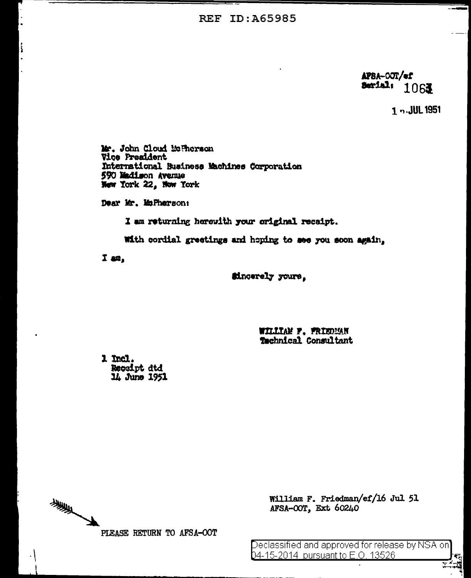**REF ID: A65985** 

APBA-OOT/ef Serial: 1061

1 n. JUL 1951

Mr. John Cloud Mc Therson **Vice President** International Business Machines Corporation 590 Madison Avenue New York 22, Now York

Dear Mr. MsPherson:

I am returning herewith your original receipt.

With cordial greetings and hoping to see you soon again,

 $I$  an,

**Sincerely** yours,

WILLIAM F. FRIEDMAN Technical Consultant

1 Incl. Receipt dtd 14 June 1951

美 PLEASE RETURN TO AFSA-OOT

William F. Friedman/ef/16 Jul 51 AFSA-OOT, Ext 60240

Declassified and approved for release by NSA on 04-15-2014 pursuant to E.O. 13526